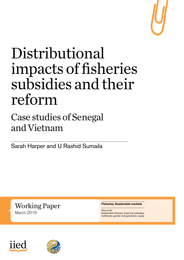

# Distributional impacts of fisheries subsidies and their reform

# Case studies of Senegal and Vietnam

Sarah Harper and U Rashid Sumaila

Working Paper March 2019

#### **Fisheries; Sustainable markets**

*Keywords:* Sustainable fisheries; fossil fuel subsidies; livelihoods; gender and generation; equity



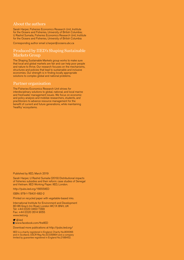#### About the authors

Sarah Harper, Fisheries Economics Research Unit, Institute for the Oceans and Fisheries, University of British Columbia; U Rashid Sumaila, Fisheries Economics Research Unit, Institute for the Oceans and Fisheries, University of British Columbia

Corresponding author email s.harper@oceans.ubc.ca

#### Produced by IIED's Shaping Sustainable Markets Group

The Shaping Sustainable Markets group works to make sure that local and global markets are fair and can help poor people and nature to thrive. Our research focuses on the mechanisms, structures and policies that lead to sustainable and inclusive economies. Our strength is in finding locally appropriate solutions to complex global and national problems.

#### Partner organisation

The Fisheries Economics Research Unit strives for interdisciplinary solutions to global, national, and local marine and freshwater management issues. We focus on economic and policy analysis and mobilize researchers, students, and practitioners to advance resource management for the benefit of current and future generations, while maintaining 'healthy' ecosystems.

#### Published by IIED, March 2019

Sarah Harper, U Rashid Sumaila (2019) Distributional impacts of fisheries subsidies and their reform: case studies of Senegal and Vietnam. IIED Working Paper. IIED, London.

<http://pubs.iied.org/16655IIED>

ISBN: 978-1-78431-682-2

Printed on recycled paper with vegetable-based inks.

International Institute for Environment and Development 80-86 Gray's Inn Road, London WC1X 8NH, UK Tel: +44 (0) 20 3463 7399 Fax: +44 (0)20 3514 9055 [www.iied.org](http://www.iied.org)

**■** [@iied](https://twitter.com/iied) **El** [www.facebook.com/theIIED](http://www.facebook.com/theIIED)

Download more publications at<http://pubs.iied.org/>

IIED is a charity registered in England, Charity No.800066 and in Scotland, OSCR Reg No.SC039864 and a company limited by guarantee registered in England No.2188452.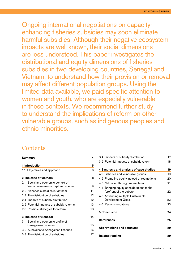Ongoing international negotiations on capacityenhancing fisheries subsidies may soon eliminate harmful subsidies. Although their negative ecosystem impacts are well known, their social dimensions are less understood. This paper investigates the distributional and equity dimensions of fisheries subsidies in two developing countries, Senegal and Vietnam, to understand how their provision or removal may affect different population groups. Using the limited data available, we paid specific attention to women and youth, who are especially vulnerable in these contexts. We recommend further study to understand the implications of reform on other vulnerable groups, such as indigenous peoples and ethnic minorities.

#### **Contents**

| <b>Summary</b> | 4                                                                         |    |
|----------------|---------------------------------------------------------------------------|----|
| 1 Introduction | 5                                                                         |    |
|                | 1.1 Objectives and approach                                               | 6  |
|                | 2 The case of Vietnam                                                     | 8  |
|                | 2.1 Social and economic context of<br>Vietnamese marine capture fisheries | 9  |
|                | 2.2 Fisheries subsidies in Vietnam                                        | 11 |
|                | 2.3 The distribution of subsidies                                         | 12 |
|                | 2.4 Impacts of subsidy distribution                                       | 12 |
|                | 2.5 Potential impacts of subsidy reforms                                  | 13 |
|                | 2.6 Possible strategies for reform                                        | 13 |
|                | 3 The case of Senegal                                                     | 14 |
|                | 3.1 Social and economic profile of                                        |    |
|                | Senegalese fisheries                                                      | 15 |
|                | 3.2 Subsidies to Senegalese fisheries                                     | 16 |
|                | 3.3 The distribution of subsidies                                         | 17 |

| 3.4 Impacts of subsidy distribution                                  | 17 |
|----------------------------------------------------------------------|----|
| 3.5 Potential impacts of subsidy reform                              | 18 |
| 4 Synthesis and analysis of case studies                             | 19 |
| 4.1 Fisheries and vulnerable groups                                  | 19 |
| 4.2 Promoting equity instead of exemptions                           | 20 |
| 4.3 Mitigation through reorientation                                 | 21 |
| 4.4 Bringing equity considerations to the<br>forefront of the debate | 22 |
| 4.5 Advancing multiple Sustainable<br>Development Goals              | 23 |
| 4.6 Recommendations                                                  | 23 |
| <b>5 Conclusion</b>                                                  | 24 |
| <b>References</b>                                                    | 25 |
| <b>Abbreviations and acronyms</b>                                    | 29 |
| <b>Related reading</b>                                               | 29 |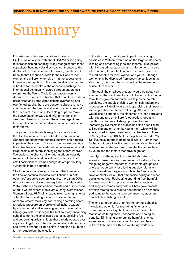# <span id="page-3-0"></span>Summary

Fisheries subsidies are globally estimated at US\$35 billion a year, with about US\$20 billion going to increase fishing capacity. Many recognise that these capacity-enhancing subsidies have contributed to the decline of fish stocks around the world, threatening the benefits that fisheries provide to the millions of men, women and children who rely on marine ecosystems. Increasing recognition of the need to eliminate harmful subsidies for the health of the oceans is pushing the international community towards agreement on their reform. As the World Trade Organization nears a decision on reforming subsidies that contribute to illegal, unreported and unregulated fishing, overfishing and overfished stocks, there are concerns about the lack of information on their social and equity dimensions and the effects of reform on vulnerable groups. To move the conversation forward and inform the transition away from harmful subsidies, there is an urgent need for insights into the human dimension of subsidies and their reform.

This paper provides such insights by investigating the distribution of fisheries subsidies in Vietnam and Senegal and identifying potential positive and negative impacts of their reform. For each country, we describe the subsidies and their distribution between small- and large-scale subsectors, identifying the actors involved. We explore the short- and long-term effects subsidy reform could have on different groups, finding that small-scale fishers, women and youth are particularly vulnerable in both countries.

Stock depletion is a serious concern that threatens the flow of potential benefits from fisheries. In both countries' exclusive economic zones, more than 50% of stocks were exploited, overexploited or collapsed in 2014. Fisheries subsidies have maintained or increased effort in waters where stocks are already overexploited. Vietnam directs 88% of its capacity-enhancing fisheries subsidies to expanding the large-scale sector in offshore waters, mainly by decreasing operating costs, to reduce pressure on overexploited inshore waters by shifting effort and increasing access to alternative fishing grounds. In Senegal, 60% of capacity-enhancing subsidies go to the small-scale sector, subsidising fuel and supporting artisanal fleets that already operate over capacity. Illegal fishing by foreign and domestic vessels and climate change-related shifts in species distribution further exacerbate the situation.

In the short term, the biggest impact of removing subsidies in Vietnam would be on the large-scale sector (fishing and processing jobs and income). But, paired with increased management and enforcement, it could allow for long-term rebuilding and increase fisheriesrelated benefits for men, women and youth. Although women may be displaced from post-harvest jobs in the short term, this could be absorbed by the expanding aquaculture sector.

In Senegal, the small-scale sector would be negatively affected in the short term but could benefit in the longer term. If the government continues to provide harmful subsidies, the supply of fish to women fish traders and processors will decline further, jeopardising their income with implications on family wellbeing. Although men would also be affected, their incomes are less correlated with expenditure on children's education, food and health. The decline in fishing opportunities from increasingly overexploited stocks has also been linked to illegal migration, often by young men, which will be exacerbated if capacity-enhancing subsidies continue. In Senegal, around 60% of the population is under 25.<sup>1</sup> So, if subsidy reform is going to alleviate — rather than further contribute to  $-$  this trend, especially in the short term, reform strategies must consider the issues faced by youth and the factors that drive migration.

Identifying at the outset the potential short-term adverse consequences of reforming subsidies is key to mitigating negative impacts for vulnerable groups and offers an opportunity for aligning subsidy reform with other international targets — such as the Sustainable Development Goals – that emphasise equity and other social objectives. Redirecting spending from harmful fisheries subsidies to programmes that empower and support women and youth will help governments develop strategies to reduce dependence on fisheries, add value to the catch and/or enhance management efforts to limit fishing mortality.

The long-term benefits of removing harmful subsidies include the potential for rebuilding fisheries and recovering stocks. Equitable access to these future stocks could bring social, economic and ecological benefits. Eliminating or reforming harmful fisheries subsidies is crucial not only to global ocean health but also to human health and wellbeing worldwide.

<sup>1</sup> [www.indexmundi.com/senegal/demographics\\_profile.html](http://www.indexmundi.com/senegal/demographics_profile.html)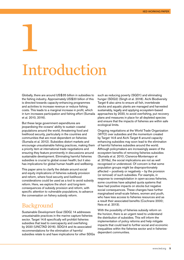# Introduction

<span id="page-4-0"></span>1

Globally, there are around US\$35 billion in subsidies to the fishing industry. Approximately US\$20 billion of this is directed towards capacity-enhancing programmes and activities to increase revenue or reduce fishing costs. This leads to a marginal increase in profit, which in turn increases participation and fishing effort (Sumaila et al. 2010, 2016).

But these large government expenditures are jeopardising the oceans' ability to sustain coastal populations around the world, threatening food and livelihood security, particularly in the countries and communities that are most dependent on fisheries (Sumaila et al. 2012). Subsidies distort markets and encourage unsustainable fishing practices, making them a priority item at international trade negotiations and ensuring they feature prominently in discussions around sustainable development. Eliminating harmful fisheries subsidies is crucial to global ocean health; but it also has implications for global human health and wellbeing.

This paper aims to clarify the debate around social and equity implications of fisheries subsidy provision and reform, where food security and livelihood considerations could be used as a tool to avoid subsidy reform. Here, we explore the short- and long-term consequences of subsidy provision and reform, with specific attention to vulnerable populations, to advance the conversation on fishery subsidy reform.

### Background

Sustainable Development Goal (SDG) 14 addresses unsustainable practices in the marine capture fisheries sector. Target 14.6 specifically will prohibit fisheries subsidies that lead to overcapacity and overfishing by 2020 (UNCTAD 2016). SDG14 and its associated recommendations for the elimination of harmful subsidies relate to and have implications for other SDGs such as reducing poverty (SGD1) and eliminating hunger (SDG2) (Singh et al. 2018). Aichi Biodiversity Target 6 also aims to ensure all fish, invertebrate stocks and aquatic plants are managed and harvested sustainably, legally and applying ecosystem-based approaches by 2020, to avoid overfishing, put recovery plans and measures in place for all depleted species and ensure that the impacts of fisheries are within safe ecological limits.

Ongoing negotiations at the World Trade Organization (WTO) over subsidies and the momentum created by Target 14.6 and Aichi Target 6 around capacityenhancing subsidies may soon lead to the elimination of harmful fisheries subsidies around the world. Although policymakers are increasingly aware of the ecosystem benefits of removing fisheries subsidies (Sumaila et al. 2010; Cisneros-Montemayor et al. 2016a), the social implications are not as well recognised or understood. Of concern is that some population groups might be disproportionately affected — positively or negatively — by the provision (or removal) of such subsidies. For example, in response to overexploitation in open-access fisheries, some countries have adopted quota systems that have had positive impacts on stocks but negative social consequences. These changes have further marginalised small-scale fishers, women and youth, who have less access to fisheries resources and as a result their associated benefits (Cochrane 2000; Neis et al. 2013).

With the possibility of fisheries subsidy reform on the horizon, there is an urgent need to understand the distribution of subsidies. This will inform the implementation of policy reforms and help mitigate impacts that could lead to further social and economic inequalities within the fisheries sector and in fisheriesdependent communities.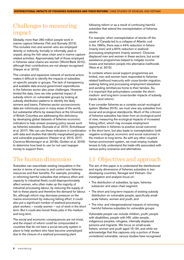#### <span id="page-5-0"></span>Challenges to measuring impact

Globally, more than 260 million people work in marine capture fisheries (Teh and Sumaila 2013). This includes men and women who are employed directly or indirectly, formally or informally, paid or unpaid, along the fish value chain and in marine capturerelated activities. Approximately half of those employed in fisheries value chains are women (World Bank 2012), although their contributions are not always recognised (Harper et al. 2013).

This complex and expansive network of sectoral actors makes it difficult to identify the impacts of subsidies on specific people or groups. The lack of transparency and available data around government expenditures in the fisheries sector also pose challenges. However limited the data, here we infer potential impact of subsidy reform on vulnerable groups by looking at subsidy distribution patterns to identify the likely winners and losers. Fisheries sector socioeconomic data are notoriously poor in many areas of the world, but substantial efforts by researchers at the University of British Columbia are addressing this deficiency by developing global datasets of fisheries economic indicators to help answer pressing policy issues such as fisheries subsidies (Sumaila et al. 2010; Schuhbauer et al. 2017). We can use these indicators in combination with data and studies that identify marginalised groups and vulnerable populations (Harper et al. 2013, 2017; Cisneros-Montemayor et al. 2016b; Golden et al. 2016) to determine how best to use (or not use) taxpayer money to support them.

### The human dimension

Subsidies can exacerbate existing inequalities in the sector in terms of access to and control over fisheries resources and their benefits. For example, providing or reforming harmful subsidies that enhance effort and capacity to industrial fleets could disproportionately affect women, who often make up the majority of industrial processing labour, by reducing the supply of fish to these plants and therefore the demand for labour. So, although reform may decrease pressure on the marine environment by reducing fishing effort, it could also put a significant number of seafood processing plant workers — mostly women — out of work in the short term. But it could also boost these jobs in the medium and long term.

The social and economic consequences are not trivial, and the impact of reform could be compounded in countries that do not have a social security system in place to help workers who have become unemployed due to the closure of a seafood processing plant

following reform or as a result of continuing harmful subsidies that extend the overexploitation of fisheries stocks.

For example, when overexploitation of stocks off the coast of Canada led to a collapse of Atlantic cod in the 1990s, there was a 44% reduction in fishers (mainly men) and a 60% reduction in seafoodprocessing employment (mainly women). Closures displaced men and women in these sectors, but social assistance programmes helped to mitigate income losses and transition people into alternative livelihoods (Neis et al. 2013).

In contexts where social support programmes are limited, men and women have responded to fisheriesrelated livelihood insecurity with cross-border migration, seeking fishing and processing employment elsewhere and sending remittances home to their families. So, it is important that policymakers consider the short-, medium- and long-term cross-border impacts of subsidy inputs (and reform).

If we consider fisheries as a complex social–ecological system (Berkes 2015), we must view any subsidies from social and ecological standpoints. Much of the criticism of fisheries subsidies has been from an ecological point of view, measuring the ecological impacts of increased fishing effort, which may increase employment opportunities in fisheries (a positive social outcome) in the short term, but also leads to overexploitation (with negative ecological, economic and social outcomes) in the medium to long terms. As with any other coupled human-environment system, we must employ multiple lenses to fully understand the trade-offs associated with various policy scenarios and alternatives.

### 1.1 Objectives and approach

The aim of this paper is to understand the distributional and equity dimensions of fisheries subsidies in two developing countries, Senegal and Vietnam. Our investigation and analysis focus on:

- The distribution of subsidies, by type, fisheries subsector and value chain segment
- The short and long-term impacts of existing subsidy distribution on vulnerable people, specifically smallscale fishers, women and youth, and
- The intra- and intergenerational impacts of removing harmful fisheries subsidies for vulnerable groups.

Vulnerable people can include children, youth, people with disabilities, people with HIV, older people, indigenous peoples, refugees, internally displaced persons and migrants. We focus on small-scale fishers, women and youth aged 15–24; and while we acknowledge that this captures only a portion of those considered vulnerable, various studies have recognised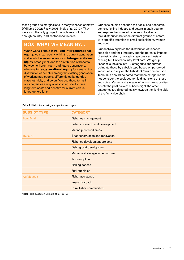these groups as marginalised in many fisheries contexts (Williams 2002; Pauly 2006; Neis et al. 2013). They were also the only groups for which we could find enough country- and sector-specific data.

#### Box: What we mean by…

When we talk about **intra- and intergenerational equity**, we mean equity within the current generation and equity between generations. **Intergenerational equity** broadly includes the distribution of benefits between children, youth and future generations, whereas **intra-generational equity** focuses on the distribution of benefits among the existing generation of working age people, differentiated by gender, class, ethnicity and so on. We use these terms in our analysis as a way of assessing short versus long-term costs and benefits for current versus future generations.

Our case studies describe the social and economic context, fishing industry and actors in each country and explore the types of fisheries subsidies and their distribution between different groups of actors, with specific attention to small-scale fishers, women and youth.

Our analysis explores the distribution of fisheries subsidies and their impacts, and the potential impacts of subsidy reform, through a rigorous synthesis of existing but limited country-level data. We group fisheries subsidies into 13 categories and further delineate these by subsidy type based on perceived impact of subsidy on the fish stock/environment (see Table 1). It should be noted that these categories do not consider the socioeconomic dimensions of these subsidies. Market and storage infrastructure subsidies benefit the post-harvest subsector; all the other categories are directed mainly towards the fishing side of the fish value chain.

| <b>SUBSIDY TYPE</b> | <b>CATEGORY</b>                       |  |  |  |
|---------------------|---------------------------------------|--|--|--|
| <b>Beneficial</b>   | <b>Fisheries management</b>           |  |  |  |
|                     | Fishery research and development      |  |  |  |
|                     | Marine protected areas                |  |  |  |
| Harmful             | Boat construction and renovation      |  |  |  |
|                     | <b>Fisheries development projects</b> |  |  |  |
|                     | <b>Fishing port development</b>       |  |  |  |
|                     | Market and storage infrastructure     |  |  |  |
|                     | Tax exemption                         |  |  |  |
|                     | <b>Fishing access</b>                 |  |  |  |
|                     | <b>Fuel subsidies</b>                 |  |  |  |
| Ambiguous           | <b>Fisher assistance</b>              |  |  |  |
|                     | Vessel buyback                        |  |  |  |
|                     | <b>Rural fisher communities</b>       |  |  |  |

Table 1. Fisheries subsidy categories and types

Note: Table based on Sumaila et al. (2010)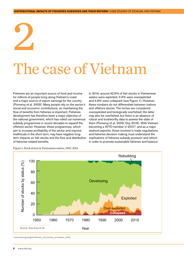# The case of Vietnam

Fisheries are an important source of food and income for millions of people living along Vietnam's coast and a major source of export earnings for the country (Pomeroy et al. 2009). Many people rely on the sector's social and economic contributions, so maintaining the flow of benefits from fisheries is important. Fisheries development has therefore been a major objective of the national government, which has rolled out numerous subsidy programmes in recent decades to expand the offshore sector. However, these programmes, which aim to increase profitability of the sector and improve livelihoods in the short term, may have negative longterm impacts on fish stocks and the flow and distribution of fisheries-related benefits.

<span id="page-7-0"></span>2

In 2014, around 42.6% of fish stocks in Vietnamese waters were exploited, 3.3% were overexploited and 4.9% were collapsed (see Figure 1). However, these numbers do not differentiate between inshore and offshore stocks. The former are considered overexploited and biologically overfished; the latter may also be overfished, but there is an absence of robust and trustworthy data to assess the state of them (Pomeroy et al. 2009; Duy 2016). With Vietnam becoming a WTO member in  $2007<sub>i</sub><sup>2</sup>$  and as a major seafood exporter, those involved in trade negotiations and fisheries decision making must understand the implications of fisheries subsidy provision and reform in order to promote sustainable fisheries and balance



Figure 1. Stock status in Vietnamese waters, 1950–2014

2 [www.wto.org/english/thewto\\_e/countries\\_e/vietnam\\_e.htm](http://www.wto.org/english/thewto_e/countries_e/vietnam_e.htm)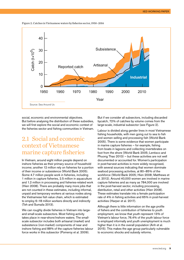<span id="page-8-0"></span>Figure 2. Catches in Vietnamese waters by fisheries sector, 1950–2014



social, economic and environmental objectives. But before analysing the distribution of these subsidies, we will first explore the social and economic context of the fisheries sector and fishing communities in Vietnam.

### 2.1 Social and economic context of Vietnamese marine capture fisheries

In Vietnam, around eight million people depend on inshore fisheries as their primary source of household income; another 12 million rely on fisheries for a portion of their income or subsistence (World Bank 2005). Some 4.7 million people work in fisheries, including 1 million in capture fisheries, 2.5 million in aquaculture and 1.2 million in processing and fisheries-related work (Hien 2008). There are probably many more jobs that are not counted in these estimates, including informal, unpaid and temporary workers at various nodes along the Vietnamese fish value chain, which is estimated to employ 6–18 million workers directly and indirectly (Teh and Sumaila 2013).

We can roughly divide fisheries in Vietnam into largeand small-scale subsectors. Most fishing activity takes place in near-shore/inshore waters. The smallscale subsector includes both artisanal (market) and subsistence (non-market) components of near and inshore fishing and 88% of the capture fisheries labour force works in this subsector (Pomeroy et al. 2009).

But if we consider all subsectors, including discarded bycatch, 72% of catches by volume comes from the large-scale, industrial subsector (see Figure 2).

Labour is divided along gender lines in most Vietnamese fishing households, with men going out to sea to fish and women selling and processing fish (World Bank 2005). There is some evidence that women participate in marine capture fisheries — for example, fishing from boats in lagoons and collecting invertebrates on foot from the shore (World Bank 2005; Lentisco and Phuong Thao 2013) — but these activities are not well documented or accounted for. Women's participation in post-harvest activities is more widely recognised, with several sources indicating that women dominate seafood processing activities, at 80–85% of the workforce (World Bank 2005; Hien 2008; Matthews et al. 2012). Around 40,000 women are involved in marine capture fisheries and as many as 784,000 are involved in the post-harvest sector, including processing, distribution, retail and other activities (Hien 2008). These estimates translate into a female participation rate of 4% in fishing activities and 65% in post-harvest activities (Harper et al. 2017).

Although there is little information on the age profile of fishers and the contribution of fisheries to youth employment, we know that youth represent 13% of Vietnam's labour force, 76.4% of the youth labour force is employed informally and youth unemployment is much higher than it is in the overall population (Anh et al. 2015). This makes the age group particularly vulnerable to economic shocks and subsidy reforms.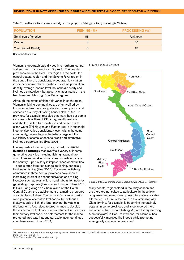| <b>POPULATION</b>     | FISHING (%) | <b>PROCESSING (%)</b> |
|-----------------------|-------------|-----------------------|
| Small-scale fisheries | 88          | Unknown               |
| <b>Women</b>          |             | 80                    |
| Youth (aged 15-24)    |             | 13                    |

Table 2. Small-scale fishers, women and youth employed in fishing and fish processing in Vietnam

Source: Author's own

Vietnam is geographically divided into northern, central and southern macro-regions (Figure 3). The coastal provinces are in the Red River region in the north, the central coastal region and the Mekong River region in the south. There is considerable geographic variation in socioeconomic characteristics — such as population density, average income level, household poverty and livelihood strategies — but poverty is most intense in the Red River and Mekong River Delta regions.

Although the status of fisherfolk varies in each region, Vietnam's fishing communities are often typified by low income, low basic living standards and poor social services.<sup>3</sup> A survey of fishing households in Ben Tre province, for example, revealed that many had per capita incomes of less than US\$1 a day, insufficient food and shelter, limited transportation and no access to clean water (Thi Nguyen and Flaaten 2011). Household income also varies considerably even within the same community, depending on the fishery targeted, the availability of assets, access to credit and alternative livelihood opportunities (Hue 2008).

In many parts of Vietnam, fishing is part of a **mixed livelihood strategy** that involves a variety of incomegenerating activities including fishing, aquaculture, agriculture and working in services. In certain parts of the country — particularly in impoverished communities — people often farm rice alongside fishing, especially freshwater fishing (Hue 2006). For example, fishing communes in three central provinces have shown increasing interest in peanut cultivation and raising livestock such as pigs, chicken and rabbits for incomegenerating purposes (Lentisco and Phuong Thao 2013). In Bai Huong village on Cham Island off the South Central Coast, the establishment of a marine protected area displaced fishers. Tourism and fish sauce making were potential alternative livelihoods, but without a steady supply of fish, the latter may not be viable in the long term. Also, despite programmes to develop these alternative livelihoods, many returned to fishing as their primary livelihood. As enforcement for the marine protected area was inadequate, exploitation continued in no-take areas (Brown 2011).

Figure 3. Map of Vietnam



Source: https://commons.wikimedia.org/wiki/Atlas\_of\_Vietnam

Many coastal regions flood in the rainy season and are therefore not suited to agriculture. In these lowlying areas and mangroves, aquaculture offers a viable alternative. But it must be done in a sustainable way. Clam farming, for example, is becoming increasingly popular in some provinces and is considered more sustainable than inshore fishing. A clam fishery (farming *Meretrix lyrata*) in Ben Tre Province, for example, has successfully improved livelihoods while promoting ecologically sustainable practices.4

<sup>3</sup> Households in rural areas with an average monthly income of less than VND 700,000 (US\$32) are considered poor for the 2016–2020 period (OECD Development Centre 2017).

4 [http://ben-tre-clam-Viet Nam-stories.msc.org/](http://ben-tre-clam-vietnam-stories.msc.org/)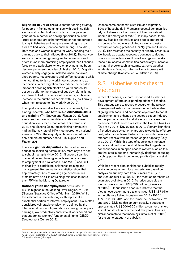<span id="page-10-0"></span>**Migration to urban areas** is another coping strategy for people in fishing communities with declining fish stocks and limited livelihood options. The younger generation in particular, seeing opportunities in the larger economy, are either unwilling or not encouraged to stay in fisheries and many are relocating to urban areas to find work (Lentisco and Phuong Thao 2013). Both men and women migrate for work, sending their earnings back to their villages (Hao 2012). The service sector is the largest growing sector in Vietnam and offers much more promising employment than fisheries, forestry and agriculture, where employment has been declining in recent decades (Anh et al. 2015). Migrating women mainly engage in unskilled labour as tailors, shoe traders, housekeepers and coffee harvesters while men continue to fish or work in construction and as mechanics. While migration may reduce the negative impact of declining fish stocks on youth and could act as a buffer to the impacts of subsidy reform, it has also been linked to other social concerns, such as an increase in the number of people with HIV, particularly when men relocate to find work (Hao 2012).

The uptake of alternative livelihoods is generally low among fisherfolk, who have limited **education, skills and training** (Thi Nguyen and Flaaten 2011). Rural areas tend to have higher illiteracy rates and lower education levels than urban areas. For example, in 2011, one Mekong Delta region fishing community had an illiteracy rate of 14% – compared to a national average of 2%. The majority of those surveyed had only completed primary school (Thi Nguyen and Flaaten 2011).

There are **gender disparities** in terms of access to education. In fishing communities, more boys are sent to school than girls (Hao 2012). Gender disparities in education and training impede women's access to employment in rural areas (Thinh 2009) and limit their ability to participate in fisheries training and management. Recent national statistics show that approximately 65% of working age people in rural Vietnam have no skills or training; this rises to more than 75% in the Mekong Delta region.

**National youth unemployment**, 5 estimated at 8%, is highest in the Mekong River Region, at 10% (General Statistics Office of Viet Nam 2018). While this estimate is relatively low, youth represent a substantial portion of informal employment. This is often considered vulnerable employment, defined by the International Labour Organization as having inadequate earnings, low productivity and difficult work conditions that undermine workers' fundamental rights (OECD Development Centre 2017).

Despite some economic pluralism and migration, 80% of households in Vietnam's coastal communities rely on fisheries for the majority of their household income (Pomeroy et al. 2009). In many cases, there are few feasible alternatives and people are forced to continue fishing overexploited stocks and using destructive fishing practices (Thi Nguyen and Flaaten 2011). This threatens the security of already precarious livelihoods as coastal resources continue to decline. Economic uncertainty and limited savings also make these rural coastal communities particularly vulnerable to natural shocks such as storms, extreme weather incidents and flooding, which will only increase with climate change (Rockefeller Foundation 2009).

## 2.2 Fisheries subsidies in Vietnam

In recent decades, Vietnam has focused its fisheries development efforts on expanding offshore fisheries. This strategy aims to reduce pressure on the already overexploited inshore marine environment while also aligning with social and economic objectives to boost employment and enhance the seafood export industry and as part of a geopolitical strategy to increase the presence of Vietnamese vessels in the South China Sea (Duy et al. 2015; Duy 2016). In 2010, Vietnam launched a fisheries subsidy scheme targeted towards its offshore fleet, which incentivised fishers to invest in large-scale offshore vessels with increased engine capacity (Duy et al. 2015). While this type of subsidy can increase income and profits in the short term, the longer-term consequences in an open-access system such as this are that stocks become increasingly depleted, reducing catch opportunities, income and profits (Sumaila et al. 2010).

With little recent data on fisheries subsidies readily available online or from local experts, we based our analysis on subsidy data from Sumaila et al. (2010) and Schuhbauer et al. (2017), the most comprehensive estimates available. In 2010, fisheries subsidies in Vietnam were around US\$650 million (Sumaila et al. 2010).6 Unpublished accounts indicate that the Vietnamese government plans to invest US\$1.87 billion in the offshore fishing industry over 2018–2030;<sup>7</sup> 46% in 2018–2020 and the remainder between 2021 and 2030. Dividing this amount equally, it suggests approximately US\$200–300 million a year for offshore vessel construction over the next few years. This is a similar estimate to that made by Sumaila et al. (2010) for the same category of subsidy.

<sup>5</sup> Youth unemployment refers to the share of the labour force aged 15–24 without work but available for and seeking employment.

<sup>6</sup> US\$1 was equivalent to VND 18,890 in 2010. Source: [www.oanda.com/currency/converter/](http://www.oanda.com/currency/converter/)

<sup>7</sup><https://tinyurl.com/y5twhag4>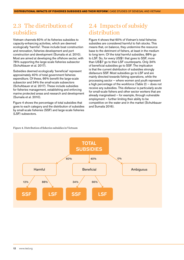#### <span id="page-11-0"></span>2.3 The distribution of subsidies

Vietnam channels 60% of its fisheries subsidies to capacity-enhancing activities, which are deemed ecologically 'harmful'. These include boat construction and renovation, fisheries development and port construction and development (Sumaila et al. 2010). Most are aimed at developing the offshore sector, with 78% supporting the large-scale fisheries subsector (Schuhbauer et al. 2017).

Subsidies deemed ecologically 'beneficial' represent approximately 40% of total government fisheries expenditure. Of these, 66% benefit the large-scale subsector and 34% the small-scale subsectors (Schuhbauer et al. 2017). These include subsidies for fisheries management, establishing and enforcing marine protected areas and research and development (Sumaila et al. 2010).

Figure 4 shows the percentage of total subsidies that goes to each category and the distribution of subsidies by small-scale fisheries (SSF) and large-scale fisheries (LSF) subsectors.

### 2.4 Impacts of subsidy distribution

Figure 4 shows that 60% of Vietnam's total fisheries subsidies are considered harmful to fish stocks. This means that, on balance, they undermine the resource base to the detriment of fishers, at least in the medium to long term. Of the total harmful subsidies, 88% go to LSF. So, for every US\$1 that goes to SSF, more than US\$7 go to their LSF counterparts. Only 34% of beneficial subsidies go to SSF. The implication is that the current distribution of subsidies strongly disfavours SSF. Most subsidies go to LSF and are mainly directed towards fishing operations, while the processing sector — where women and youth represent a high percentage of the workforce (Table 2) — does not receive any subsidies. This disfavour is particularly acute for small-scale fishers and other sector workers that are already marginalised — for example, through vulnerable employment — further limiting their ability to be competitive on the water and in the market (Schuhbauer and Sumaila 2016).

#### Figure 4. Distribution of fisheries subsidies in Vietnam

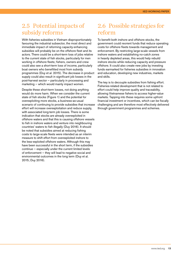### <span id="page-12-0"></span>2.5 Potential impacts of subsidy reforms

With fisheries subsidies in Vietnam disproportionately favouring the industrial subsector, the most direct and immediate impact of reforming capacity-enhancing subsidies will probably be on the offshore fleet and its actors. There could be a short-term loss of jobs relative to the current state of fish stocks, particularly for men working in offshore fleets; fishers, owners and crew could also see a short-term loss of income, particularly boat owners who benefitted most from subsidy programmes (Duy et al. 2015). The decrease in product supply could also result in significant job losses in the post-harvest sector — particularly in processing and marketing — which would mainly impact women.

Despite these short-term losses, not doing anything would do more harm. When we consider the current state of fish stocks (Figure 1) and the potential for overexploiting more stocks, a business-as-usual scenario of continuing to provide subsidies that increase effort will increase overexploitation and reduce supply, with associated long-term job losses. There is some indication that stocks are already overexploited in offshore waters and that this is causing offshore vessels to fish in inshore waters and venture into neighbouring countries' waters to fish illegally (Duy 2016). It should be noted that subsidies aimed at reducing fishing costs to large-scale fleets were intended as an interim measure to shift effort from overexploited inshore to the less-exploited offshore waters. Although this may have been successful in the short term, if the subsidies continue — especially under the current limited levels of enforcement — they will lead to negative social and environmental outcomes in the long term (Duy et al. 2015; Duy 2016).

### 2.6 Possible strategies for reform

To benefit both inshore and offshore stocks, the government could reorient funds that reduce operating costs for offshore fleets towards management and enforcement. By restricting large-scale vessels from inshore waters and establishing no-catch zones in heavily depleted areas, this would help rebuild inshore stocks while reducing capacity and pressure offshore. It could also create new jobs by investing funds earmarked for fisheries subsidies in innovation and education, developing new industries, markets and skills.

The key is to decouple subsidies from fishing effort. Fisheries-related development that is not related to effort could help improve quality and traceability, allowing Vietnamese fishers to access higher-value markets. Tapping into these requires some upfront financial investment or incentives, which can be fiscally challenging and are therefore most effectively delivered through government programmes and schemes.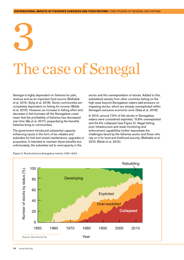# <span id="page-13-0"></span>3 The case of Senegal

Senegal is highly dependent on fisheries for jobs, revenue and as an important food source (Belhabib et al. 2015; Selig et al. 2018). Some communities are completely dependent on fishing for income (Blédé et al. 2015). However, an increase in fishing effort and decrease in fish biomass off the Senegalese coast mean that the profitability of fisheries has decreased over time (Ba et al. 2017), jeopardising the benefits fisheries bring to communities.

The government introduced substantial capacityenhancing inputs in the form of tax rebates and subsidies for fuel and vessel maintenance, upgrades or acquisition. It intended to maintain these benefits but, unfortunately, the subsidies led to overcapacity in the

sector and the overexploitation of stocks. Added to this, subsidised vessels from other countries fishing on the high seas beyond Senegalese waters add pressure on migrating stocks, which are already overexploited within Senegal's exclusive economic zone (Sala et al. 2018).

In 2014, around 7.5% of fish stocks in Senegalese waters were considered exploited, 15.8% overexploited and 54.4% collapsed (see Figure 5). Illegal fishing, poor infrastructure and weak monitoring and enforcement capabilities further exacerbate the challenges faced by the fisheries sector and those who rely on it for food and livelihood security (Belhabib et al. 2015; Blédé et al. 2015).



Figure 5. Stock status in Senegalese waters, 1950–2014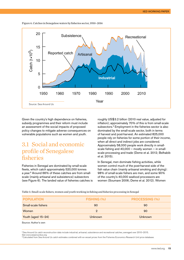<span id="page-14-0"></span>



Given the country's high dependence on fisheries, subsidy programmes and their reform must include an assessment of the social impacts of proposed policy changes to mitigate adverse consequences on vulnerable populations such as women and youth.

#### 3.1 Social and economic profile of Senegalese fisheries

Fisheries in Senegal are dominated by small-scale fleets, which catch approximately 520,000 tonnes a year.8 Around 66% of these catches are from smallscale (mainly artisanal and subsistence) subsectors (see Figure 6). The landed value of fisheries catches is roughly US\$3.2 billion (2010 real value, adjusted for inflation); approximately 70% of this is from small-scale subsectors.<sup>9</sup> Employment in the fisheries sector is also dominated by the small-scale sector, both in terms of harvest and post-harvest. An estimated 825,000 people rely on fisheries for some portion of their income, when all direct and indirect jobs are considered. Approximately 58,000 people work directly in smallscale fishing and  $40,000 -$  mostly women  $-$  in smallscale processing and trade (Deme et al. 2012; Belhabib et al. 2015).

In Senegal, men dominate fishing activities, while women control much of the post-harvest side of the fish value chain (mainly artisanal smoking and drying): 98% of small-scale fishers are men, and some 90% of the country's 40,000 seafood processors are women (Soumare 2006; Deme et al. 2012). Women

Table 3. Small-scale fishers, women and youth working in fishing and fisheries processing in Senegal

| <b>POPULATION</b>   | FISHING (%) | <b>PROCESSING (%)</b> |
|---------------------|-------------|-----------------------|
| Small-scale fishers | 90          | 90                    |
| <b>Women</b>        |             | 90                    |
| Youth (aged 15-24)  | Unknown     | Unknown               |

Source: Author's own

8 Sea Around Us catch reconstruction data include industrial, artisanal, subsistence and recreational catches, averaged over 2010–2015. See [www.seaaroundus.org](http://www.seaaroundus.org)

9 Calculated from Sea Around Us catch estimates combined with ex-vessel prices from the Fisheries Economics Research Unit price database.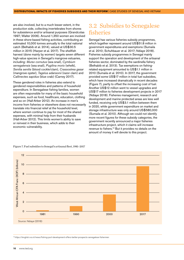<span id="page-15-0"></span>are also involved, but to a much lesser extent, in the production side, collecting invertebrates from shores for subsistence and/or artisanal purposes (Grandcolas 1997; Walter 2006). Around 1,350 women are involved in these shore-based fishing activities, contributing an estimated 10,000 tonnes annually to the total national catch (Belhabib et al. 2014), valued at US\$30.5 million in 2015 (Harper et al. 2017). The shellfish harvest (done mainly by women) targets seven different high-value species in Senegal's mangrove estuaries, including: *Murex cornutus* (sea snail), *Cymbium senegalensis* (sea snail), *Pugilina morio* (whelk), *Senilia senilis* (blood cockle/clam), *Crassostrea gasar* (mangrove oyster), *Tagelus adansonii* (razor clam) and *Callinectes sapidus* (blue crab) (Carney 2017).

These gendered roles in fisheries also extend to gendered responsibilities and patterns of household expenditure. In Senegalese fishing families, women are often responsible for many of the basic household expenses, such as food, healthcare, education, clothing and so on (Hall-Arber 2012). An increase in men's income from fisheries or elsewhere does not necessarily translate into financial relief at the household level, where women continue to pay for most of the shared expenses, with minimal help from their husbands (Hall-Arber 2012). This limits women's ability to save or reinvest in their business, which adds to their economic vulnerability.

### 3.2 Subsidies to Senegalese fisheries

Senegal has various fisheries subsidy programmes, which together represent around US\$51.8 million in government expenditures and exemptions (Sumaila et al. 2010; Schuhbauer et al. 2017; Ndiaye 2018). Fisheries subsidy programmes in Senegal mainly support the operation and development of the artisanal fisheries sector, dominated by the sardinella fishery (Belhabib et al. 2013). Tax exemptions on fishingrelated equipment amounted to US\$1.1 million in 2010 (Sumaila et al. 2010). In 2017, the government provided some US\$17 million in total fuel subsidies, which have increased dramatically in recent decades (Figure 7), partly to offset the increasing cost of fuel. Another US\$12 million went to vessel upgrades and US\$17 million to fisheries development projects in 2017 (Ndiaye 2018). Fisheries management, research and development and marine protected areas are less well funded, receiving only US\$3.1 million between them in 2020, while government expenditure on market and storage infrastructure was only around US\$580,000 (Sumaila et al. 2010). Although we could not identify more recent figures for these subsidy categories, the government recently announced a major fisheries infrastructure project, which it claims will increase revenue to fishers.10 But it provides no details on the amount of money it will devote to this project.



Figure 7. Fuel subsidies to Senegal's artisanal fleet, 1981–2017

10<https://english.rvo.nl/news/fishing-port-development-offers-better-prospects-senegalese-fishermen>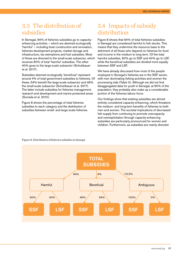#### <span id="page-16-0"></span>3.3 The distribution of subsidies

In Senegal, 94% of fisheries subsidies go to capacityenhancing activities — which are deemed ecologically 'harmful' — including boat construction and renovation, fisheries development projects, market storage and infrastructure, tax exemptions and fuel subsidies. Most of these are directed to the small-scale subsector, which receives 60% of total 'harmful' subsidies. The other 40% goes to the large-scale subsector (Schuhbauer et al. 2017).

Subsidies deemed ecologically 'beneficial' represent around 4% of total government subsidies to fisheries. Of these, 54% benefit the large-scale subsector and 46% the small-scale subsector (Schuhbauer et al. 2017). The latter include subsidies for fisheries management, research and development and marine protected areas (Sumaila et al. 2010).

Figure 8 shows the percentage of total fisheries subsidies to each category and the distribution of subsidies between small- and large-scale fisheries.

### 3.4 Impacts of subsidy distribution

Figure 8 shows that 94% of total fisheries subsidies in Senegal are considered harmful to fish stocks. This means that they undermine the resource base to the detriment of all those who depend on fisheries for food and income in the medium to long term. Of the total harmful subsidies, 60% go to SSF and 40% go to LSF, while the beneficial subsidies are divided more equally between SSF and LSF.

We have already discussed how most of the people employed in Senegal's fisheries are in the SSF sector, with men dominating fishing activities and women the processing side (Table 3). Although we did not find disaggregated data for youth in Senegal, at 60% of the population, they probably also make up a considerable portion of the fisheries labour force.

Our findings show that existing subsidies are almost entirely considered capacity-enhancing, which threatens the medium- and long-term benefits of fisheries to both men and women. The societal implications of decreased fish supply from continuing to promote overcapacity and overexploitation through capacity-enhancing subsidies are particularly pronounced for women and children. Furthermore, as subsidies are mainly directed



Figure 8. Distribution of fisheries subsidies in Senegal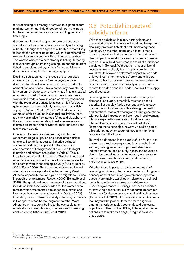<span id="page-17-0"></span>towards fishing or creating incentives to expand export markets, women get little direct benefit from the inputs but bear the consequences for the resulting decline in fish supply.

Government financial support for port construction and infrastructure is considered a capacity-enhancing subsidy. Although these types of subsidy are more likely to benefit the processing sector, which is dominated by women, they represent only 1% of harmful subsidies. The women who participate directly in fishing, targeting molluscs through shoreline gleaning, do not benefit from fisheries subsidies either, as their fishing activities are done on foot using low-technology equipment.

Declining fish supplies — the result of overexploited stocks and the increase in foreign buyers — have disrupted traditional value chains and increased both competition and prices. This is particularly devastating for women fish traders, who have limited financial capital or access to credit.11 In situations of economic crisis, women fish traders have, in some contexts, responded with the practice of transactional sex, or fish-for-sex, to gain access to an increasingly limited and costly fish supply (Béné and Merten 2008). While documented examples of this practice in Senegal are limited, there are many examples from across Africa and elsewhere in the world of women resorting to extreme measures to maintain an income and provide for their families (Béné and Merten 2008).

Continuing to provide subsidies may also further exacerbate illegal migration and associated political tensions. Economic struggles, fisheries collapse and subsidisation (or support for the acquisition and operation of fishing vessels) are linked to illegal migration and migrant smuggling in Africa.12 This is likely to worsen as stocks decline. Climate change and other factors first pushed farmers from inland areas to the coast to work in the fishing industry (Atta-Mills et al. 2004; Pauly 2006). Then declining stocks and limited alternative income opportunities forced many West Africans, especially men and youth, to migrate to Europe in search of employment (Reuveny 2007; Belhabib et al. 2019). The gendered consequences of these migrations include an increased work burden for the women who remain, which affects their socioeconomic status and increases their economic vulnerability (Denton 2002). One study has also linked capacity-enhancing subsidies in Senegal to cross-border migration to other West African countries, contributing to the overexploitation of fish stocks in neighbouring countries and increasing conflict among fishers (Binet et al. 2012).

#### 3.5 Potential impacts of subsidy reform

With these subsidies in place, certain fleets and associated artisanal fisheries will continue to experience declining profits as fish stocks fall. Removing these subsidies, on the other hand, could lead to stock recovery over time. In the short term, it would have a direct impact on small-scale sector fishers and vessel owners. Fuel subsidies represent a third of all fisheries subsidies in Senegal. Without them, most artisanal vessels would probably have negative profits. This would result in fewer employment opportunities and/ or lower income for the vessels' crew and skippers and would have an adverse impact on the small-scale processors and marketers — mainly women — who receive the catch once it is landed, as their fish supply would decrease.

Removing subsidies would also lead to changes in domestic fish supply, potentially threatening food security. But subsidy-fuelled overcapacity is already compromising food security, threatening the health and nutritional status of existing and future generations, with particular impacts on children, youth and women, who are especially vulnerable to food insecurity. If harmful subsidies continue, this will not abate. Removing these subsidies, however, could be part of a broader strategy for securing food and nutritional resources into the future.

But while a decrease in the supply of fish for the local market has direct consequences for domestic food security, having fewer fish to process also has an indirect effect on food security, health and education, due to decreased incomes for women, who support their families through processing and marketing activities (Hall-Arber 2012).

Whether these impacts are a short-term result of removing subsidies or become a medium- to long-term consequence of continued government support for capacity-enhancing activities will depend on political motivation, which often takes a short-term view. Fisheries governance in Senegal has been criticised for favouring policies that claim economic benefit but fail to meet food security and sustainability objectives (Belhabib et al. 2017). However, decision makers must look beyond the political term to create alignment among the various social, economic and ecological objectives outlined in the SDGs, if Senegal and other nations are to make meaningful progress towards these goals.

11 <https://tinyurl.com/yxfm3dyr>

<sup>12</sup> [www.infomigrants.net/en/post/9622/mareyeurs-senegal-s-fisheries-crisis-drives-migration](http://www.infomigrants.net/en/post/9622/mareyeurs-senegal-s-fisheries-crisis-drives-migration)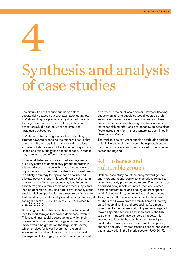<span id="page-18-0"></span>4

# Synthesis and analysis of case studies

The distribution of fisheries subsidies differs substantially between our two case study countries. In Vietnam, they are predominantly directed towards the large-scale sector, while in Senegal they are almost equally divided between the small and large-scale subsectors.

In Vietnam, subsidy programmes have been largely directed towards expanding the offshore fleet to shift effort from the overexploited inshore waters to less exploited offshore areas. But enforcement capacity is limited and this strategy has not succeeded. In fact, it may have increased effort in inshore waters.

In Senegal, fisheries provide crucial employment and are a key source of domestically produced protein in this food-insecure nation with limited income-generating opportunities. So, the drive to subsidise artisanal fleets is partially a strategy to improve food security and alleviate poverty, though it is also driven by short-term economic gain. While subsidies may lead to some short-term gains in terms of domestic food supply and income generation, they also add to overcapacity of the small-scale fleet, putting further pressure on fish stocks that are already threatened by climate change and illegal fishing (Lam et al. 2012; Pauly et al. 2014; Belhabib et al. 2017, 2019).

Removing harmful subsidies in both countries could lead to short-term job losses and decreased revenue. This would have social consequences, which their governments would need to mitigate. In Vietnam, the impact would be greater on the large-scale sector, which employs far fewer fishers than the smallscale sector; but it would also impact post-harvest employment. In Senegal, the short-term impacts would be greater in the small-scale sector. However, keeping capacity-enhancing subsidies would jeopardise job security in this sector even more. It would also have consequences for neighbouring countries in terms of increased fishing effort and overcapacity, as subsidised fleets increasingly fish in these waters, as seen in both Senegal and Vietnam.

The implications of current subsidy distribution and the potential impacts of reform could be especially acute for groups that are already marginalised in the fisheries sector and beyond.

#### 4.1 Fisheries and vulnerable groups

Both our case study countries bring forward gender and intergenerational equity considerations related to fisheries subsidy provision and reform. We have already discussed how, in both countries, men and women perform different roles and occupy different spaces within fishing families, communities and businesses. This gender differentiation is reflected in the division of labour at all levels, from the family home all the way up to industrial fishing and processing. As a result, government expenditures and policy reforms targeted towards specific activities and segments of the fish value chain may well have gendered impacts. It is important to identify these at the outset to mitigate unintended consequences — for example, on poverty and food security — by exacerbating gender inequalities that already exist in the fisheries sector (FAO 2017).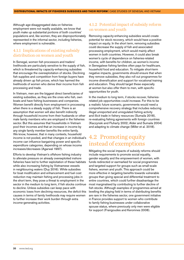<span id="page-19-0"></span>Although age-disaggregated data on fisheries employment were not readily available, we know that youth make up substantial portions of both countries' populations and, like women, they are disproportionately represented in the informal sector, including fisheries, where employment is vulnerable.

#### 4.1.1 Implications of existing subsidy distribution on women and youth

In Senegal, women fish processors and traders' livelihoods are particularly sensitive to the supply of fish, which is threatened by capacity-enhancing subsidies that encourage the overexploitation of stocks. Declining fish supplies and competition from foreign buyers have already driven up fish prices, which has harmed the livelihoods of women who derive their income from fish processing and trade.

In Vietnam, men are the biggest direct beneficiaries of existing subsidies, as they are the ones who fish, own boats and have fishing businesses and companies. Women benefit directly from employment in processing when there is a steady supply of fish. There is an assumption that women will also benefit indirectly through household income from their husbands or other male family members who are employed in the fisheries sector. But this assumes that households in Vietnam pool their incomes and that an increase in income by any single family member benefits the entire family. We know, however, that in many contexts, household income is not pooled, and that changes in an individual's income can influence bargaining power and specific expenditure categories, depending on whose income increases/decreases (Agarwal 1997).

Efforts to develop Vietnam's offshore fishing industry to alleviate pressure on already overexploited inshore fisheries have led to further exploitation of these habitats while also increasing fishing by Vietnamese vessels in neighbouring waters (Duy 2016). While subsidies for boat modification and enhancement and fuel cost reduction may maintain fishing and processing jobs in the short term, they pose a threat to employment in the sector in the medium to long term, if fish stocks continue to decline. Unless subsidies can keep pace with economic loses from declining resources, the deficit this causes in terms of family livelihoods may require women to further increase their work burden through extra income-generating activities.

#### 4.1.2 Potential impact of subsidy reform on women and youth

Removing capacity-enhancing subsidies would create potential for stock recovery, which would have a positive impact on equity. In the short term, removing subsidies could decrease the supply of fish and associated processing employment, which would mainly affect women in both countries. However, it could also break women's cycle of dependence on fisheries-related income, with benefits for children, as women's income in Senegalese fishing families often pays for healthcare, household food and education. To mitigate short-term negative impacts, governments should ensure that when they remove subsidies, they also roll out programmes for income diversification and support for vocational training and education. They should target these especially at women but also offer them to men, with specific opportunities for youth.

In the medium to long term, if stocks recover, fisheriesrelated job opportunities could increase. For this to be a realistic future scenario, governments would need a comprehensive recovery strategy that includes reducing illegal unreported and unregulated fishing activity and illicit trade in fishery resources (Sumaila 2018), re-evaluating fishing agreements with foreign countries (Kaczynski and Fluharty 2002; Alder and Sumaila 2004) and adapting to climate change (Miller et al. 2018).

#### 4.2 Promoting equity instead of exemptions

Mitigating the social impacts of subsidy reforms should include requirements to promote social equality, gender equality and the empowerment of women, with funds redirected or earmarked for social programmes and targeted support for groups such as small-scale fishers, women and youth. This approach could be more effective in targeting benefits towards vulnerable groups than giving special and differential treatment to entire countries, which could further disadvantage the most marginalised by contributing to further decline of fish stocks. Although examples of programmes aimed at levelling the playing field in terms of distributing benefits are rare in the fisheries sector, one government initiative in France provides support to women who contribute to family fishing businesses under collaborative spouse status, where previously only men were eligible for support (Frangoudes and Keromnes 2008).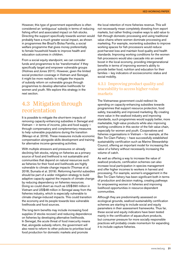<span id="page-20-0"></span>However, this type of government expenditure is often considered an 'ambiguous' subsidy in terms of reducing fishing effort and associated impact on fish stocks. Directing the support specifically towards women would probably have a much greater social impact, as shown in programmes like Brazil's Bolsa Família, a social welfare programme that gives money preferentially to female household heads to improve health and education outcomes in children.

From a social equity standpoint, we can consider funds and programmes to be 'transformative' if they specifically target and empower vulnerable groups (Holmes and Jones 2011). However, given the limited social protection coverage in Vietnam and Senegal, it might be more realistic to mitigate the impacts of subsidy reform on vulnerable groups through programmes to develop alternative livelihoods for women and youth. We explore this strategy in the next section.

### 4.3 Mitigation through reorientation

It is possible to mitigate the short-term impacts of removing capacity-enhancing subsidies in Senegal and Vietnam — in terms of income, jobs and food supply through compensatory and complementary measures to help vulnerable populations during the transition (Merayo et al. 2019). These measures include economic compensation alongside skills development and training for alternative income-generating activities.

With multiple stressors and pressures on already declining fish stocks, relying on fisheries as a primary source of food and livelihood is not sustainable and communities that depend on natural resources such as fisheries for their food and livelihoods are highly vulnerable to climate change impacts (Thomas et al. 2018; Sumaila et al. 2019). Reforming harmful subsidies should be part of a wider mitigation strategy to build adaptive capacity against the impacts of climate change by reducing dependency on fisheries resources. Doing so could divert as much as US\$390 million in Vietnam and US\$48 million in Senegal away from the fisheries industry, which is especially vulnerable to climate change-induced impacts. This could transition the economy and its people towards less vulnerable livelihoods and food sources.

The long-term benefits may include increasing food supplies (if stocks recover) and reducing dependence on fisheries by developing alternative livelihoods. In Senegal, the acute threat of food insecurity means that, alongside subsidy reform, the government will also need to reform to other policies to prioritise local food production for domestic markets and promote

the local retention of more fisheries revenue. This will not necessarily mean completely divesting from export markets, but rather finding creative ways to add value to fish through domestic processing and using traditional value chains where women dominate processing and marketing. For example, reorienting subsidies to improve working spaces for fish processors would reduce post-harvest loss and maintain food quality and health standards. Improving working conditions for the women fish processors would also cascade into an overall boost in the local economy, providing intergenerational benefits in terms of improving women's ability to provide better food, nutrition and education for their families — key indicators of socioeconomic status and social mobility.

#### 4.3.1 Improving product quality and traceability to access higher-value markets

The Vietnamese government could redirect its spending on capacity-enhancing subsidies towards programmes that support resource protection, food safety, traceability and improved marketing. By creating more value in the seafood industry and improving standards, such programmes would supply better, more marketable, high-value products while also improving working conditions in this sector of the fish value chain, especially for women and youth. Cooperatives and fisheries organisations in Vietnam — for example, at the Ben Tre Clam Fishery — have successfully established sustainability certification such as Marine Stewardship Council, offering an important model for increasing the value of a fishery without necessarily increasing the volume of catch.

As well as offering a way to increase the value of seafood products, certification schemes can also increase local participation in species management and offer higher incomes to workers in harvest and processing. For example, women's engagement in the Ben Tre Clam fishery has been significant both in terms of production and decision making, creating pathways for empowering women in fisheries and improving livelihood opportunities in resource-dependent communities.

Although they are predominantly assessed on ecological grounds, seafood sustainability certification schemes are starting to include social and equity parameters in their assessment frameworks. Thus far, these social and equity indicators have been tested mainly in the certification of aquaculture products, but consumer pressure for more socially responsible practices will probably create momentum for expanding it to include capture fisheries.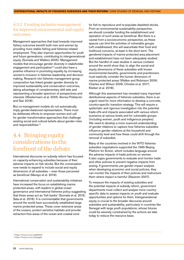#### <span id="page-21-0"></span>4.3.2 Funding inclusive management for improved environmental and equity outcomes

Management approaches that lead towards improved fishery outcomes benefit both men and women by providing more stable fishing and fisheries-related employment. They also improve opportunities for youth and future generations, contributing to intergenerational equity (Sumaila and Walters 2005). Management models that encourage gender diversity in stakeholder engagement and participation<sup>13</sup> could also have a positive influence in promoting equality by increasing women's inclusion in fisheries leadership and decision making. Research into fisheries management group composition has linked greater gender diversity to improved sustainability and conservation outcomes, taking advantage of complementary skill sets and representing a broader spectrum of perspectives and interests (Westermann et al. 2005; Alonso-Población and Siar 2018).

But co-management models do not automatically imply gender-balanced representation. There must be deliberate efforts to empower women and call for gender transformative approaches that challenge existing social and cultural beliefs about gender roles and responsibilities.14

#### 4.4 Bringing equity considerations to the forefront of the debate

International discourse on subsidy reform has focused on capacity-enhancing subsidies because of their adverse impacts on fish stocks. But the conversation now needs to expand to include social and equity dimensions of all subsidies — even those perceived as beneficial (Merayo et al. 2019).

International conservation and sustainability initiatives have increased the focus on establishing marine protected areas, with leaders in global ocean governance and international fisheries policy suggesting that these areas act as 'fish banks' (Sumaila et al. 2015; Sala et al. 2016). It is commendable that governments around the world have successfully established large marine protected areas. These cover extensive areas of the oceans, protect sensitive habitats and provide extraction-free areas of the ocean and coastal zone

for fish to reproduce and re-populate depleted stocks. From an environmental sustainability perspective, we should consider funding the establishment and operation of such areas as beneficial. But there is a caveat from a socioeconomic perspective, as these spaces can limit the activities of vulnerable groups. Left unaddressed, this will exacerbate their food and livelihood concerns, at least in the short term. The gendered impacts of marine protected area placement and establishment have not been adequately studied. But the handful of case studies in various contexts around the world show that, to align the social and equity dimensions of these subsidies with known environmental benefits, governments and practitioners must explicitly consider the human dimension of marine protected areas (Walker and Robinson 2009; Charles and Wilson 2009; Christie et al. 2017; Kleiber et al. 2018).

Although this assessment has revealed many important distributional aspects of fisheries subsidies, there is an urgent need for more information to develop a concrete, country-specific transition strategy. This will require a systematic and rigorous investigation into the potential trade-offs and impacts associated with various reform scenarios at various levels and for vulnerable groups (including women, youth and indigenous peoples). We need to develop a more nuanced understanding of gender relations to capture how fisheries subsidies influence gender relations at the household and community level and how these could shift through the removal of subsidies.

Many of the countries involved in the WTO fisheries subsidies negotiations supported the 1995 Beijing Platform for Action, which includes language around the adverse impacts of trade policies on women. It also urges governments to evaluate and monitor trade and other policies to prevent negative impacts from arising. If governments use gender impact analysis when developing economic and social policies, they can monitor the impacts of their policies and restructure them where impact is harmful (Staveren 2007).

To measure the impacts of existing subsidies and the potential impacts of subsidy reform, government departments must collect and analyse more countryspecific data to assess impacts on youth and evaluate opportunities and options for them. Intergenerational equity is crucial to the broader discourse around subsidies and sustainability, particularly in countries like Senegal with large youth populations, whose futures could be severely constrained by the actions we take today to reduce the resource base.

<sup>13</sup><https://tinyurl.com/y4p89y5t>

<sup>14</sup><https://tinyurl.com/y2eapght>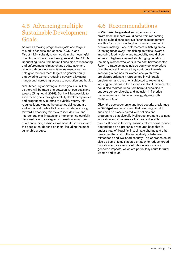### <span id="page-22-0"></span>4.5 Advancing multiple Sustainable Development Goals

As well as making progress on goals and targets related to fisheries and oceans (SGD14 and Target 14.6), subsidy reform could make meaningful contributions towards achieving several other SDGs. Reorienting funds from harmful subsidies to monitoring and enforcement, climate change adaptation and reducing dependence on fisheries resources can help governments meet targets on gender equity, empowering women, reducing poverty, alleviating hunger and increasing access to education and health.

Simultaneously achieving all these goals is unlikely, as there will be trade-offs between various goals and targets (Singh et al. 2018). But it will be possible to align these goals through carefully developed policies and programmes. In terms of subsidy reform, this requires identifying at the outset social, economic and ecological trade-offs to inform strategies going forward. Expanding this view to include intra- and intergenerational impacts and implementing carefully designed reform strategies to transition away from effort-enhancing subsidies will benefit fish stocks and the people that depend on them, including the most vulnerable groups.

## 4.6 Recommendations

In **Vietnam**, the greatest social, economic and environmental impact would come from reorienting existing subsidies to improve fisheries management — with a focus on including both men and women in decision making — and enforcement of fishing areas. Directing funds away from fishing activities towards improving food hygiene and traceability would allow access to higher-value markets, bringing benefits to the many women who work in the post-harvest sector. Reform strategies must include equity considerations from the outset to ensure they contribute towards improving outcomes for women and youth, who are disproportionately represented in vulnerable employment and are often subjected to exploitative working conditions in the fisheries sector. Governments could also redirect funds from harmful subsidies to support gender diversity and inclusion in fisheries management and decision making, aligning with multiple SDGs.

Given the socioeconomic and food security challenges in **Senegal**, we recommend that removing harmful subsidies be closely paired with policies and programmes that diversify livelihoods, promote business innovation and compensate the most vulnerable groups. If done in this way, subsidy reform could reduce dependence on a precarious resource base that is under threat of illegal fishing, climate change and other pressures that add to the vulnerability of fisheriesrelated food and livelihood security. This approach could also be part of a multifaceted strategy to reduce forced migration and its associated intergenerational and gendered impacts, which are particularly acute for rural women and youth.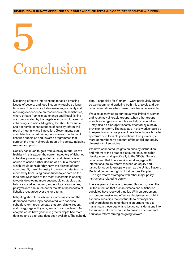# <span id="page-23-0"></span>5 Conclusion

Designing effective interventions to tackle pressing issues of poverty and food insecurity requires a longterm view. This must include developing capacity and reducing dependence on resources such as fisheries, where threats from climate change and illegal fishing are compounded by the negative impacts of capacityenhancing subsidies. Mitigating the short-term social and economic consequences of subsidy reform will require ingenuity and innovation. Governments can stimulate this by redirecting funds away from harmful fisheries subsidies and towards programmes that support the most vulnerable people in society, including women and youth.

Society has much to gain from subsidy reform. As we highlight in this paper, the current trajectory of fisheries subsidies provisioning in Vietnam and Senegal is on course to cause further decline of a public resource, which would considerably harm the citizens of both countries. By carefully designing reform strategies that move away from using public funds to jeopardise the food and livelihoods of the most vulnerable in society towards developing more sustainable strategies that balance social, economic, and ecological outcomes, policymakers can much better maintain the benefits of fisheries resources over the long term.

Mitigating short-term job and income losses and the decreased food supply associated with fisheries subsidy reform requires data that are reliable, recent and disaggregated by age, sex, and income level. Our analysis could have gone into greater depth had more detailed and up-to-date data been available. The subsidy data — especially for Vietnam — were particularly limited, so we recommend updating both this analysis and our recommendations when newer data become available.

We also acknowledge our focus was limited to women and youth as vulnerable groups, when other groups — such as indigenous peoples and ethnic minorities — may also be disproportionately affected by subsidy provision or reform. The next step in this work should be to expand on what we present here to include a broader spectrum of vulnerable populations, thus providing a more comprehensive account of the social and equity dimensions of subsidies.

We have connected insights on subsidy distribution and reform to the broader discourse on sustainable development, and specifically to the SDGs. But we recommend that future work should engage with international policy efforts focused on equity and justice for specific groups – such as the United Nations Declaration on the Rights of Indigenous Peoples — to align reform strategies with other major policy instruments related to equity.

There is plenty of scope to expand this work, given the limited attention that human dimensions of fisheries subsidies have received thus far. With an agreement on comprehensive and effective disciplines to prohibit fisheries subsidies that contribute to overcapacity and overfishing looming, there is an urgent need to mainstream these equity and justice considerations into the subsidy reform discourse to provide effective and equitable reform strategies going forward.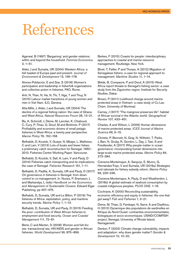# <span id="page-24-0"></span>References

Agarwal, B (1997) 'Bargaining' and gender relations: within and beyond the household. *Feminist Economics* 3, 1–51.

Alder, J and Sumaila, UR (2004) Western Africa: a fish basket of Europe past and present. *Journal of Environment & Development* 13, 156–178.

Alonso-Población, E and Siar, S (2018) Women's participation and leadership in fisherfolk organizations and collective action in fisheries. FAO, Rome.

Anh, N, Than, N, Ha, N, Thi, T, Nga, T and Thuy, N (2015) Labour market transitions of young women and men in Viet Nam. ILO, Geneva.

Atta-Mills, J, Alder, J and Sumaila, UR (2004) The decline of a regional fishing nation: the case of Ghana and West Africa. *Natural Resources Forum* 28, 13–21.

Ba, A, Schmidt, J, Dème, M, Lancker, K, Chaboud, C, Cury, P, Thiao, D, Diouf, M and Brehmer, P (2017) Profitability and economic drivers of small pelagic fisheries in West Africa: a twenty year perspective. *Marine Policy* 76, 152–158.

Belhabib, D, Koutob, V, Gueye, N, Mbaye, L, Mathews, C and Lam, V (2013) Lots of boats and fewer fishes: a preliminary catch reconstruction for Senegal, 1950– 2010. Fisheries Centre Working Paper. Vancouver.

Belhabib, D, Koutob, V, Sall, A, Lam, V and Pauly, D (2014) Fisheries catch misreporting and its implications: the case of Senegal. *Fisheries Research* 151, 1–11.

Belhabib, D, Padilla, A, Sumaila, UR and Pauly, D (2017) On governance in fisheries in Senegal: from down control to co-management. In: Nunes, P, Svensson, L and Markandya, L (eds) *Handbook on the Economics and Management of Sustainable Oceans*. Edward Elgar Publishing, pp 457–475.

Belhabib, D, Sumaila, UR and Le Billon, P (2019) The fisheries of Africa: exploitation, policy, and maritime security trends. *Marine Policy* 1, 1–13.

Belhabib, D, Sumaila, UR and Pauly, D (2015) Feeding the poor: contribution of West African fisheries to employment and food security. *Ocean and Coastal Management* 111, 72–81.

Béné, C and Merten, S (2008) Women and fish-forsex: transactional sex, HIV/AIDS and gender in African fisheries. *World Development* 36, 875–899.

Berkes, F (2015) Coasts for people: interdisciplinary approaches to coastal and marine resource management. Routledge, New York.

Binet, T, Failler, P and Thorpe, A (2012) Migration of Senegalese fishers: a case for regional approach to management. *Maritime Studies* 11, 1–14.

Blédé, B, Compaoré, P and Diouf, A (2015) West Africa report threats to Senegal's fishing sector: a case study from the Ziguinchor region. Institute for Security Studies, Dakar.

Brown, P (2011) Livelihood change around marine protected areas in Vietnam: a case study of Cu Lao Cham. University of Montreal.

Carney, J (2017) "The mangrove preserves life": habitat of African survival in the Atlantic world. *Geographical Review* 107, 433–451.

Charles, A and Wilson, L (2009) Human dimensions of marine protected areas. *ICES Journal of Marine Science* 66, 6–15.

Christie, P, Bennett, N, Gray, N, Wilhelm, T, Parks, J, Ban, N, Gruby, R, Gordon, L, Day, J, Taei, S and Friedlander, A (2017) Why people matter in ocean governance: incorporating human dimensions into large-scale marine protected areas. *Marine Policy* 84, 273–284.

Cisneros-Montemayor, A, Sanjurjo, E, Munro, G, Hernández-Trejo, V and Sumaila, UR (2016a) Strategies and rationale for fishery subsidy reform. *Marine Policy* 69, 229–236.

Cisneros-Montemayor, A, Pauly, D and Weatherdon, L (2016b) A global estimate of seafood consumption by coastal indigenous peoples. *PLOS ONE*, 1–16.

Cochrane, K (2000) Reconciling sustainability, economic efficiency and equity in fisheries: the one that got away? *Fish and Fisheries* 1, 3–21.

Deme, M, Thiao, D, Fambaye, N, Sarre, A and Diadhiou, H (2012) Dynamique des populations de sardinelles en Afrique du Nord-Ouest: contraintes environnementales, biologiques et socio economiques. USAID/COMFISH project, Senegal, University of Rhode Island, Narragansett.

Denton, F (2002) Climate change vulnerability, impacts and adaptation: why does gender matter? *Gender & Development* 10, 10–20.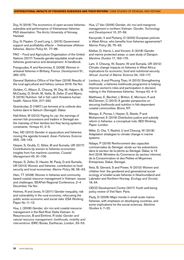Duy, N (2016) The economics of open-access fisheries: subsidies and performance of Vietnamese fisheries. PhD dissertation. The Arctic University of Norway, Harstad.

Duy, N, Flaaten, O and Long, L (2015) Government support and profitability effects — Vietnamese offshore fisheries. *Marine Policy* 61, 77–86.

FAO – Food and Agriculture Organization of the United Nations (2017) Towards gender-equitable small-scale fisheries governance and development: A handbook.

Frangoudes, K and Keromnes, E (2008) Women in artisanal fisheries in Brittany, France. *Development* 51, 265–270.

General Statistics Office of Viet Nam (2018) Results of the rural agricultural and fishery census 2016. Ha Noi.

Golden, C, Allison, E, Cheung, W, Dey, M, Halpern, B, McCauley, D, Smith, M, Vaitla, B, Zeller, D and Myers, S (2016) Nutrition: fall in fish catch threatens human health. *Nature* 534, 317–320.

Grandcolas, D (1997) Les femmes et la collecte des huitres dans le Saloum (Senegal). Dakar.

Hall-Arber, M (2012) Paying for *yip*: the earnings of women fish processors and traders in Senegal are the mainstay of their families but they facing systemic constraints. *Yemaya* 41, 2–5.

Hao, ND (2012) Gender in aquaculture and fisheries: moving the agenda forward. *Asian Fisheries Science* 25S, 129–143.

Harper, S, Grubb, C, Stiles, M and Sumaila, UR (2017) Contributions by women to fisheries economies: insights from five maritime countries. *Coastal Management* 45, 91–106.

Harper, S, Zeller, D, Hauzer, M, Pauly, D and Sumaila, UR (2013) Women and fisheries: contribution to food security and local economies. *Marine Policy* 39, 56–63.

Hien, TT (2008) Women in fisheries and community based coastal resource management in Vietnam: issues and challenges. SEAFish Regional Conference, 2–4 December, Ha Noi.

Holmes, R and Jones, N (2011) Gender inequality, risk and vulnerability in the rural economy: refocusing the public works economic and social risks. ESA Working Paper No 11-13.

Hue, L (2008) Gender, *doi moi* and coastal resource management in the Red River Delta Vietnam. In: Resurreccion, B and Elmhirst, R (eds) *Gender and natural resource management: livelihoods, mobility and interventions*. IDRC Books, Earthscan, London, 33–53.

Hue, LT Van (2006) Gender, *doi moi* and mangrove management in northern Vietnam. *Gender, Technology and Development* 10, 37–59.

Kaczynski, V and Fluharty, D (2002) European policies in West Africa: who benefits from fisheries agreements? *Marine Policy* 26, 75–93.

Kleiber, D, Harris, L and Vincent, A (2018) Gender and marine protected areas: a case study of Danajon. *Maritime Studies* 17, 163–175.

Lam, V, Cheung, W, Swartz, W and Sumaila, UR (2012) Climate change impacts on fisheries in West Africa: implications for economic, food and nutritional security. *African Journal of Marine Science* 34, 103–117.

Lentisco, A and Phuong Thao, H (2013) Strengthening livelihoods: a fisheries livelihoods programme is helping improve women's roles and participation in decision making in the Vietnamese fisheries. *Yemaya* 43, 4–5.

Matthews, E, Bechtel, J, Britton, E, Morrison, K and McClennen, C (2012) A gender perspective on securing livelihoods and nutrition in fish-dependent coastal communities. Bronx, NY.

Merayo, E, Porras, I, Harper, S, Steele, P and Mohammed, E (2019) Distributive justice and subsidy reform in fisheries: a conceptual note. IIED Working Paper. London.

Miller, D, Ota, Y, Rashid, U and Cheung, W (2018) Adaptation strategies to climate change in marine systems.

Ndiaye, P (2018) Renforcement des capacités commerciales du Sénégal: etude sur les subventions dans le secteur de la pêche au Sénégal. Dakar, le 13 Avril 2018. Ministère du Commerce du secteur informel, de la Consommation et des Petites et Moyennes Entreprises, Dakar, Senegal.

Neis, B, Gerrard, S and Power, N (2013) Women and children first: the gendered and generational socialecology of smaller-scale fisheries in Newfoundland and Labrador and Northern Norway. *Ecology and Society* 18, 64.

OECD Development Centre (2017) Youth well-being policy review of Viet Nam. Paris.

Pauly, D (2006) Major trends in small·scale marine fisheries, with emphasis on developing countries, and some implications for the social sciences. *Maritime Studies* 4, 7–22.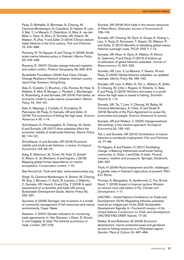Pauly, D, Belhabib, D, Blomeyer, R, Cheung, W, Cisneros-Montemayor, A, Copeland, D, Harper, S, Lam, V, Mai, Y, Le Manach, F, Österblom, H, Mok, K, van der Meer, L, Sanz, A, Shon, S, Sumaila, UR, Swartz, W, Watson, R, Zhai, Y and Zeller, D (2014) China's distantwater fisheries in the 21st century. *Fish and Fisheries* 15, 474–488.

Pomeroy, R, Thi Nguyen, K and Thong, H (2009) Smallscale marine fisheries policy in Vietnam. *Marine Policy* 33, 419–428.

Reuveny, R. (2007) Climate change-induced migration and violent conflict. *Political Geography* 26, 656–673.

Rockefeller Foundation (2009) Asia Cities Climate Change Resiliance Network Initiative: Vietnam country report final. Kowloon, Hong Kong.

Sala, E, Costello, C, Bourbon, J De, Fiorese, M, Heal, G, Kelleher, K, Mof, R, Morgan, L, Plunkett, J, Rechberger, K, Rosenberg, A and Sumaila, UR (2016) Fish banks: an economic model to scale marine conservation. *Marine Policy* 73, 154–161.

Sala, E, Mayorga, J, Costello, C, Kroodsma, D, Palomares, M, Pauly, D, Sumaila, UR and Zeller, D (2018) The economics of fishing the high seas. *Science Advances* 4 (6) 1–14.

Schuhbauer, A, Chuenpagdee, R, Cheung, W, Greer, K and Sumaila, UR (2017) How subsidies affect the economic viability of small-scale fisheries. *Marine Policy* 82, 114–121.

Schuhbauer, A and Sumaila, UR (2016) Economic viability and small-scale fisheries: a review. *Ecological Economics* 124, 69–75.

Selig, E, Mckinnon, M, Turner, W, Hole, D, Zvoleff, A, Allison, E, de Sherbinin, A and Ingram, J (2018) Mapping global human dependence on marine ecosystems. *Conservation Letters*, 1–10.

Sea Around Us. Tools and data. [www.seaaroundus.org](http://www.seaaroundus.org)

Singh, G, Cisneros-Montemayor, A, Swartz, W, Cheung, W, Guy, J, Mcowen, C, Asch, R, Laurens, J, Wabnitz, C, Sumaila, UR, Hanich, Q and Ota, Y (2018) A rapid assessment of co-benefits and trade-offs among Sustainable Development Goals. *Marine Policy* 93, 223–231.

Soumare, A (2006) Senegal: role of women in a model of community management of fish resources and marine environments, Cayar. Dakar.

Staveren, V (2007) Gender indicators for monitoring trade agreements. In: Van Staveren, I, Elson, D, Grown, C and Çağatay, N (eds) The feminist economics of trade. London, 257–276.

Sumaila, UR (2018) Illicit trade in the marine resources of West Africa. *Ghanaian Journal of Economics* 6, 108–116.

Sumaila, UR, Cheung, W, Dyck, A, Gueye, K, Huang, L, Lam, V, Pauly, D, Srinivasan, T, Swartz, W, Watson, R and Zeller, D (2012) Benefits of rebuilding global marine fisheries outweigh costs. *PLOS ONE* 7, 1–12.

Sumaila, UR, Khan, A, Dyck, A, Watson, R, Munro, G, Tydemers, P and Pauly, D (2010) A bottom-up re-estimation of global fisheries subsidies. *Journal of Bioeconomics* 12, 201–225.

Sumaila, UR, Lam, V, Le Manach, F, Swartz, W and Pauly, D (2016) Global fisheries subsidies: an updated estimate. *Marine Policy* 69, 189–193.

Sumaila, UR, Lam, V, Miller, D, Teh, L, Watson, R, Zeller, D, Cheung, W, Côté, I, Rogers, A, Roberts, C, Sala, E and Pauly, D (2015) Winners and losers in a world where the high seas is closed to fishing. *Scientific Reports* 5, 1–6.

Sumaila, UR, Tai, T, Lam, V, Cheung, W, Bailey, M, Cisneros-Montemayor, A, Chen, O and Gulati S (2019) Benefits of the Paris Agreement to ocean life, economies and people. *Science Advances* (in press).

Sumaila, UR and Walters, C (2005) Intergenerational discounting: a new intuitive approach. *Ecological Economics* 52, 135–142.

Teh, L and Sumaila, UR (2013) Contribution of marine fisheries to worldwide employment. *Fish and Fisheries* 14, 77–88.

Thi Nguyen, K and Flaaten, O (2011) Facilitating change: a Mekong Vietnamese small-scale fishing community. In: Svein, J and Eide, A (eds). *Poverty mosaics: realities and prospects*. Springer, Dordrecht, 335–357.

Thinh, H (2009) Rural employment and life: challenges to gender roles in Vietnam's agriculture at present. FAO-ILO, Rome.

Thomas, A, Mangubhai, S, Vandervord, C, Fox, M and Nand, Y (2018) Impact of tropical cyclone Winston on women mud crab fishers in Fiji. *Climate and Development*, 1–11.

UNCTAD – United Nations Conference on Trade and Development (2016) Regulating fisheries subsidies must be an integral part of the 2030 Sustainable Development Agenda. In: *Fourteenth session of the United Nations Conference on Trade and Development*. UNCTAD-FAO-UNEP, Nairobi, 17–20.

Walker, B and Robinson, M (2009) Economic development, marine protected areas and gendered access to fishing resources in a Polynesian lagoon. *Gender, Place & Culture* 16, 467–484.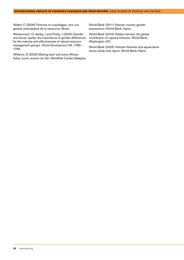Walter, C (2006) Femmes et coquillages: vers une gestion participative de la ressource. Brest.

Westermann, O, Ashby, J and Pretty, J (2005) Gender and social capital: the importance of gender differences for the maturity and effectiveness of natural resource management groups. *World Development* 33, 1783– 1799.

Williams, S (2002) Making each and every African fisher count: women do fish. Worldfish Center, Malaysia. World Bank (2011) Vietnam country gender assessment. World Bank, Hanoi.

World Bank (2012) Hidden harvest: the global contribution of capture fisheries. World Bank, Washington, DC.

World Bank (2005) Vietnam fisheries and aquaculture sector study final report. World Bank, Hanoi.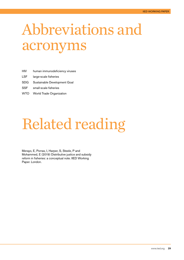# <span id="page-28-0"></span>Abbreviations and acronyms

| <b>HIV</b> |  | human immunodeficiency viruses |
|------------|--|--------------------------------|
|            |  |                                |

- LSF large-scale fisheries
- SDG Sustainable Development Goal
- SSF small-scale fisheries
- WTO World Trade Organization

# Related reading

Merayo, E, Porras, I, Harper, S, Steele, P and Mohammed, E (2019) Distributive justice and subsidy reform in fisheries: a conceptual note. IIED Working Paper. London.